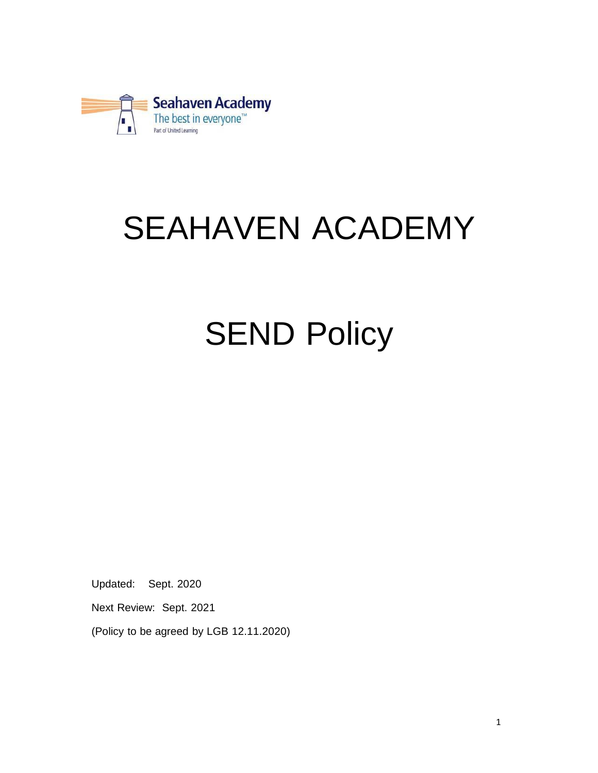

# SEAHAVEN ACADEMY

# **SEND Policy**

Updated: Sept. 2020

Next Review: Sept. 2021

(Policy to be agreed by LGB 12.11.2020)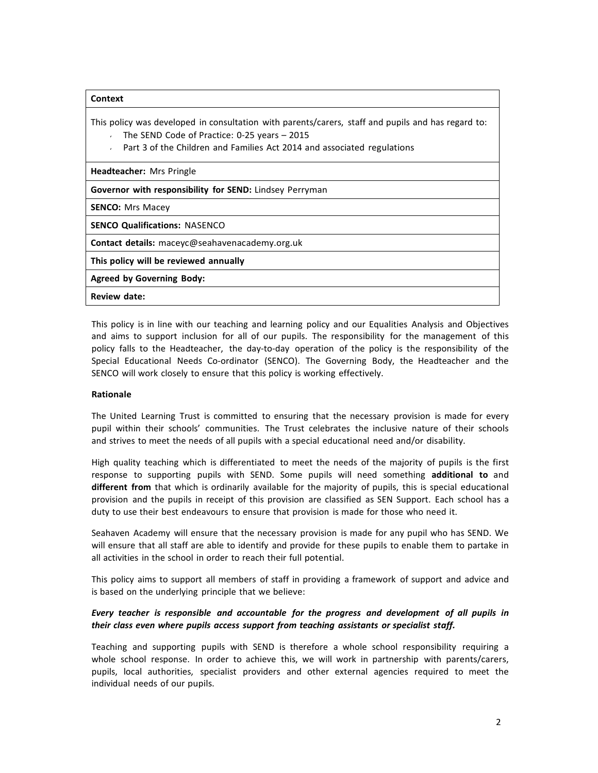| Context                                                                                                                                                                                                                                           |
|---------------------------------------------------------------------------------------------------------------------------------------------------------------------------------------------------------------------------------------------------|
| This policy was developed in consultation with parents/carers, staff and pupils and has regard to:<br>The SEND Code of Practice: $0-25$ years $-2015$<br>Part 3 of the Children and Families Act 2014 and associated regulations<br>$\mathcal{L}$ |
| <b>Headteacher:</b> Mrs Pringle                                                                                                                                                                                                                   |
| <b>Governor with responsibility for SEND:</b> Lindsey Perryman                                                                                                                                                                                    |
| <b>SENCO:</b> Mrs Macey                                                                                                                                                                                                                           |
| <b>SENCO Qualifications: NASENCO</b>                                                                                                                                                                                                              |
| Contact details: maceyc@seahavenacademy.org.uk                                                                                                                                                                                                    |
| This policy will be reviewed annually                                                                                                                                                                                                             |
| <b>Agreed by Governing Body:</b>                                                                                                                                                                                                                  |
| <b>Review date:</b>                                                                                                                                                                                                                               |

This policy is in line with our teaching and learning policy and our Equalities Analysis and Objectives and aims to support inclusion for all of our pupils. The responsibility for the management of this policy falls to the Headteacher, the day-to-day operation of the policy is the responsibility of the Special Educational Needs Co-ordinator (SENCO). The Governing Body, the Headteacher and the SENCO will work closely to ensure that this policy is working effectively.

# **Rationale**

The United Learning Trust is committed to ensuring that the necessary provision is made for every pupil within their schools' communities. The Trust celebrates the inclusive nature of their schools and strives to meet the needs of all pupils with a special educational need and/or disability.

High quality teaching which is differentiated to meet the needs of the majority of pupils is the first response to supporting pupils with SEND. Some pupils will need something **additional to** and **different from** that which is ordinarily available for the majority of pupils, this is special educational provision and the pupils in receipt of this provision are classified as SEN Support. Each school has a duty to use their best endeavours to ensure that provision is made for those who need it.

Seahaven Academy will ensure that the necessary provision is made for any pupil who has SEND. We will ensure that all staff are able to identify and provide for these pupils to enable them to partake in all activities in the school in order to reach their full potential.

This policy aims to support all members of staff in providing a framework of support and advice and is based on the underlying principle that we believe:

# *Every teacher is responsible and accountable for the progress and development of all pupils in their class even where pupils access support from teaching assistants or specialist staff.*

Teaching and supporting pupils with SEND is therefore a whole school responsibility requiring a whole school response. In order to achieve this, we will work in partnership with parents/carers, pupils, local authorities, specialist providers and other external agencies required to meet the individual needs of our pupils.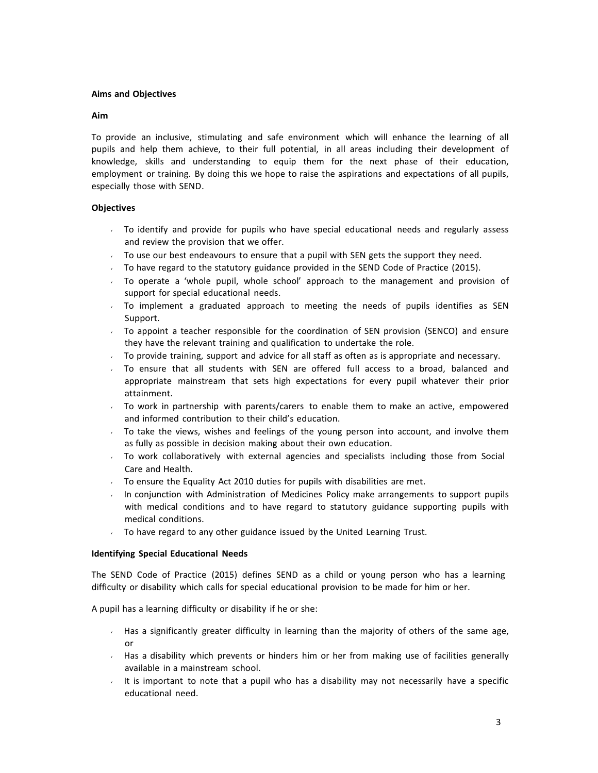## **Aims and Objectives**

#### **Aim**

To provide an inclusive, stimulating and safe environment which will enhance the learning of all pupils and help them achieve, to their full potential, in all areas including their development of knowledge, skills and understanding to equip them for the next phase of their education, employment or training. By doing this we hope to raise the aspirations and expectations of all pupils, especially those with SEND.

# **Objectives**

- To identify and provide for pupils who have special educational needs and regularly assess and review the provision that we offer.
- $\sim$  To use our best endeavours to ensure that a pupil with SEN gets the support they need.
- $\sim$  To have regard to the statutory guidance provided in the SEND Code of Practice (2015).
- To operate a 'whole pupil, whole school' approach to the management and provision of support for special educational needs.
- To implement a graduated approach to meeting the needs of pupils identifies as SEN Support.
- To appoint a teacher responsible for the coordination of SEN provision (SENCO) and ensure they have the relevant training and qualification to undertake the role.
- To provide training, support and advice for all staff as often as is appropriate and necessary.
- $\sim$  To ensure that all students with SEN are offered full access to a broad, balanced and appropriate mainstream that sets high expectations for every pupil whatever their prior attainment.
- $\cdot$  To work in partnership with parents/carers to enable them to make an active, empowered and informed contribution to their child's education.
- To take the views, wishes and feelings of the young person into account, and involve them as fully as possible in decision making about their own education.
- To work collaboratively with external agencies and specialists including those from Social Care and Health.
- To ensure the Equality Act 2010 duties for pupils with disabilities are met.
- In conjunction with Administration of Medicines Policy make arrangements to support pupils with medical conditions and to have regard to statutory guidance supporting pupils with medical conditions.
- To have regard to any other guidance issued by the United Learning Trust.

#### **Identifying Special Educational Needs**

The SEND Code of Practice (2015) defines SEND as a child or young person who has a learning difficulty or disability which calls for special educational provision to be made for him or her.

A pupil has a learning difficulty or disability if he or she:

- Has a significantly greater difficulty in learning than the majority of others of the same age, or
- $\sim$  Has a disability which prevents or hinders him or her from making use of facilities generally available in a mainstream school.
- It is important to note that a pupil who has a disability may not necessarily have a specific educational need.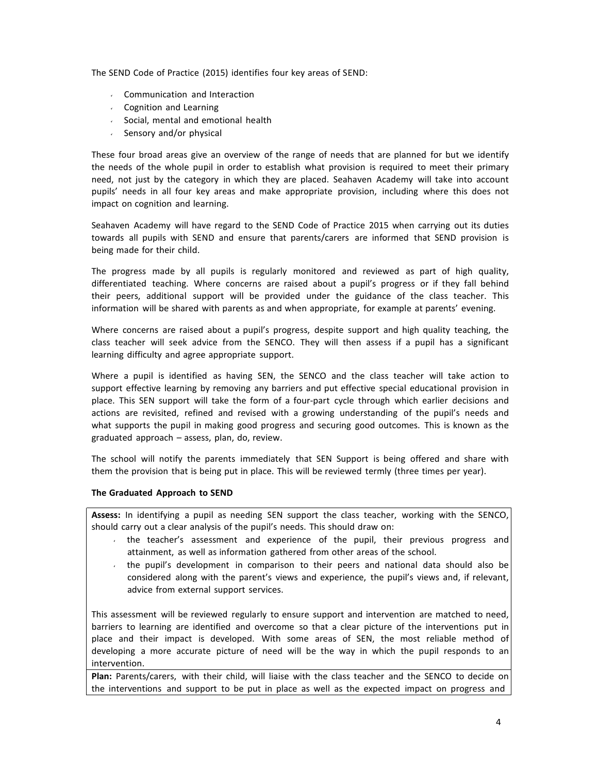The SEND Code of Practice (2015) identifies four key areas of SEND:

- Communication and Interaction
- Cognition and Learning
- $\sim$  Social, mental and emotional health
- $\cdot$  Sensory and/or physical

These four broad areas give an overview of the range of needs that are planned for but we identify the needs of the whole pupil in order to establish what provision is required to meet their primary need, not just by the category in which they are placed. Seahaven Academy will take into account pupils' needs in all four key areas and make appropriate provision, including where this does not impact on cognition and learning.

Seahaven Academy will have regard to the SEND Code of Practice 2015 when carrying out its duties towards all pupils with SEND and ensure that parents/carers are informed that SEND provision is being made for their child.

The progress made by all pupils is regularly monitored and reviewed as part of high quality, differentiated teaching. Where concerns are raised about a pupil's progress or if they fall behind their peers, additional support will be provided under the guidance of the class teacher. This information will be shared with parents as and when appropriate, for example at parents' evening.

Where concerns are raised about a pupil's progress, despite support and high quality teaching, the class teacher will seek advice from the SENCO. They will then assess if a pupil has a significant learning difficulty and agree appropriate support.

Where a pupil is identified as having SEN, the SENCO and the class teacher will take action to support effective learning by removing any barriers and put effective special educational provision in place. This SEN support will take the form of a four‐part cycle through which earlier decisions and actions are revisited, refined and revised with a growing understanding of the pupil's needs and what supports the pupil in making good progress and securing good outcomes. This is known as the graduated approach – assess, plan, do, review.

The school will notify the parents immediately that SEN Support is being offered and share with them the provision that is being put in place. This will be reviewed termly (three times per year).

#### **The Graduated Approach to SEND**

**Assess:** In identifying a pupil as needing SEN support the class teacher, working with the SENCO, should carry out a clear analysis of the pupil's needs. This should draw on:

- the teacher's assessment and experience of the pupil, their previous progress and attainment, as well as information gathered from other areas of the school.
- the pupil's development in comparison to their peers and national data should also be considered along with the parent's views and experience, the pupil's views and, if relevant, advice from external support services.

This assessment will be reviewed regularly to ensure support and intervention are matched to need, barriers to learning are identified and overcome so that a clear picture of the interventions put in place and their impact is developed. With some areas of SEN, the most reliable method of developing a more accurate picture of need will be the way in which the pupil responds to an intervention.

**Plan:** Parents/carers, with their child, will liaise with the class teacher and the SENCO to decide on the interventions and support to be put in place as well as the expected impact on progress and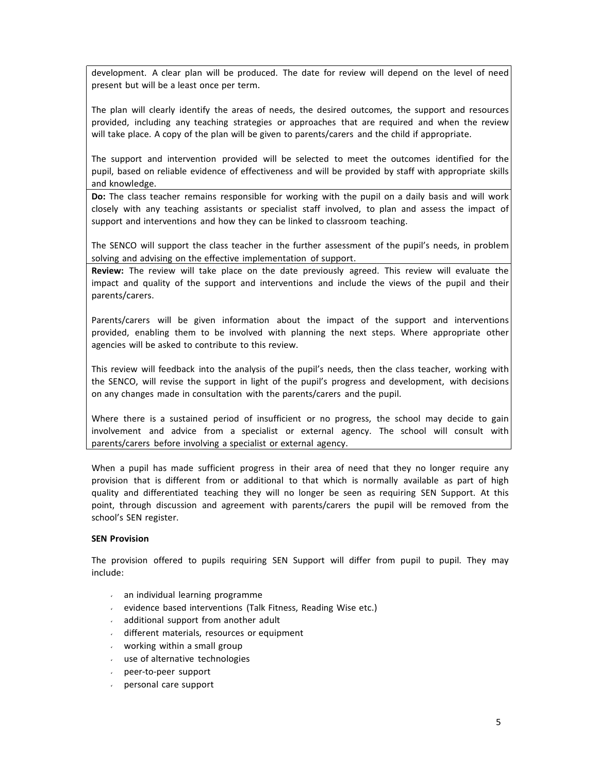development. A clear plan will be produced. The date for review will depend on the level of need present but will be a least once per term.

The plan will clearly identify the areas of needs, the desired outcomes, the support and resources provided, including any teaching strategies or approaches that are required and when the review will take place. A copy of the plan will be given to parents/carers and the child if appropriate.

The support and intervention provided will be selected to meet the outcomes identified for the pupil, based on reliable evidence of effectiveness and will be provided by staff with appropriate skills and knowledge.

**Do:** The class teacher remains responsible for working with the pupil on a daily basis and will work closely with any teaching assistants or specialist staff involved, to plan and assess the impact of support and interventions and how they can be linked to classroom teaching.

The SENCO will support the class teacher in the further assessment of the pupil's needs, in problem solving and advising on the effective implementation of support.

**Review:** The review will take place on the date previously agreed. This review will evaluate the impact and quality of the support and interventions and include the views of the pupil and their parents/carers.

Parents/carers will be given information about the impact of the support and interventions provided, enabling them to be involved with planning the next steps. Where appropriate other agencies will be asked to contribute to this review.

This review will feedback into the analysis of the pupil's needs, then the class teacher, working with the SENCO, will revise the support in light of the pupil's progress and development, with decisions on any changes made in consultation with the parents/carers and the pupil.

Where there is a sustained period of insufficient or no progress, the school may decide to gain involvement and advice from a specialist or external agency. The school will consult with parents/carers before involving a specialist or external agency.

When a pupil has made sufficient progress in their area of need that they no longer require any provision that is different from or additional to that which is normally available as part of high quality and differentiated teaching they will no longer be seen as requiring SEN Support. At this point, through discussion and agreement with parents/carers the pupil will be removed from the school's SEN register.

#### **SEN Provision**

The provision offered to pupils requiring SEN Support will differ from pupil to pupil. They may include:

- an individual learning programme
- evidence based interventions (Talk Fitness, Reading Wise etc.)
- $\mathbf{v}$ additional support from another adult
- different materials, resources or equipment
- working within a small group  $\mathbf{v}$
- use of alternative technologies
- peer‐to‐peer support  $\mathbf{v}$
- personal care support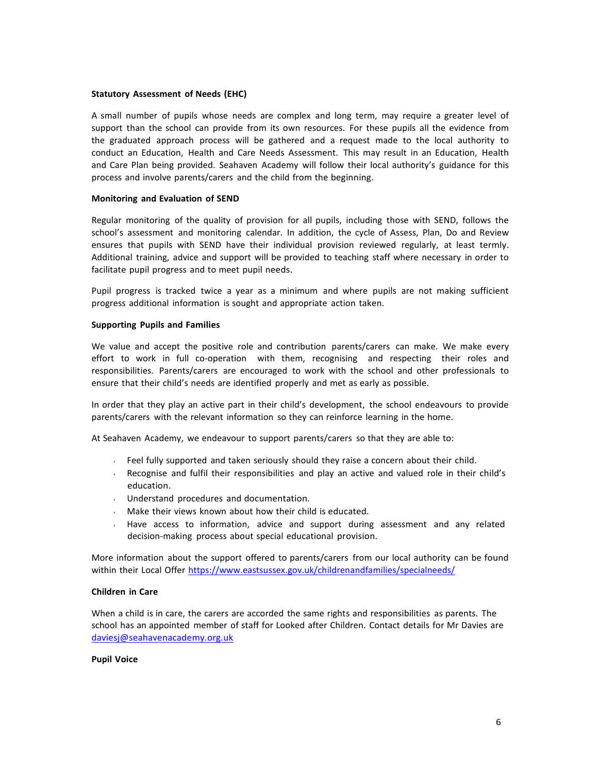#### **Statutory Assessment of Needs (EHC)**

A small number of pupils whose needs are complex and long term, may require a greater level of support than the school can provide from its own resources. For these pupils all the evidence from the graduated approach process will be gathered and a request made to the local authority to conduct an Education, Health and Care Needs Assessment. This may result in an Education, Health and Care Plan being provided. Seahaven Academy will follow their local authority's guidance for this process and involve parents/carers and the child from the beginning.

#### **Monitoring and Evaluation of SEND**

Regular monitoring of the quality of provision for all pupils, including those with SEND, follows the school's assessment and monitoring calendar. In addition, the cycle of Assess, Plan, Do and Review ensures that pupils with SEND have their individual provision reviewed regularly, at least termly. Additional training, advice and support will be provided to teaching staff where necessary in order to facilitate pupil progress and to meet pupil needs.

Pupil progress is tracked twice a year as a minimum and where pupils are not making sufficient progress additional information is sought and appropriate action taken.

#### **Supporting Pupils and Families**

We value and accept the positive role and contribution parents/carers can make. We make every effort to work in full co-operation with them, recognising and respecting their roles and responsibilities. Parents/carers are encouraged to work with the school and other professionals to ensure that their child's needs are identified properly and met as early as possible.

In order that they play an active part in their child's development, the school endeavours to provide parents/carers with the relevant information so they can reinforce learning in the home.

At Seahaven Academy, we endeavour to support parents/carers so that they are able to:

- Feel fully supported and taken seriously should they raise a concern about their child.
- Recognise and fulfil their responsibilities and play an active and valued role in their child's  $\mathbf{v}^{(i)}$ education.
- Understand procedures and documentation.
- Make their views known about how their child is educated.  $\mathbf{v}$
- Have access to information, advice and support during assessment and any related decision‐making process about special educational provision.

More information about the support offered to parents/carers from our local authority can be found within their Local Offer https:/[/www.eastsussex.gov.uk/childrenandfamilies/specialneeds/](http://www.eastsussex.gov.uk/childrenandfamilies/specialneeds/)

#### **Children in Care**

When a child is in care, the carers are accorded the same rights and responsibilities as parents. The school has an appointed member of staff for Looked after Children. Contact details for Mr Davies are [daviesj@seahavenacademy.org.uk](mailto:daviesj@seahavenacademy.org.uk)

#### **Pupil Voice**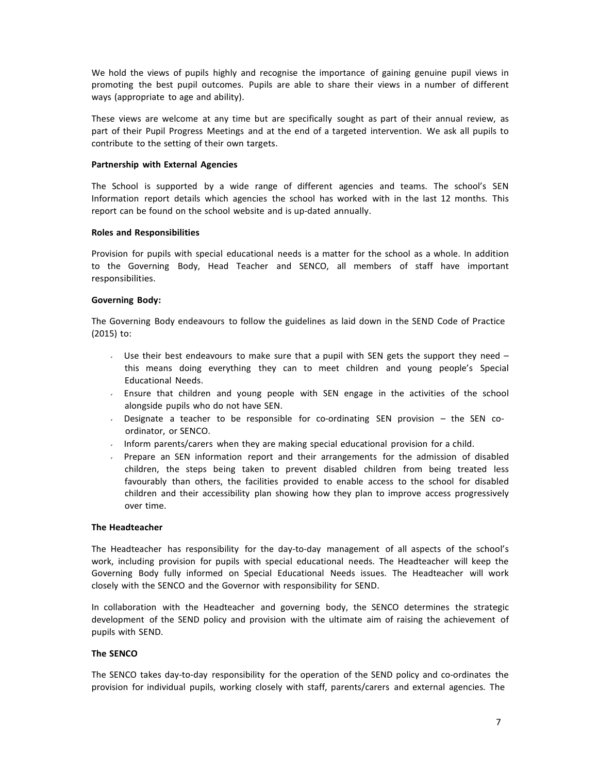We hold the views of pupils highly and recognise the importance of gaining genuine pupil views in promoting the best pupil outcomes. Pupils are able to share their views in a number of different ways (appropriate to age and ability).

These views are welcome at any time but are specifically sought as part of their annual review, as part of their Pupil Progress Meetings and at the end of a targeted intervention. We ask all pupils to contribute to the setting of their own targets.

#### **Partnership with External Agencies**

The School is supported by a wide range of different agencies and teams. The school's SEN Information report details which agencies the school has worked with in the last 12 months. This report can be found on the school website and is up-dated annually.

#### **Roles and Responsibilities**

Provision for pupils with special educational needs is a matter for the school as a whole. In addition to the Governing Body, Head Teacher and SENCO, all members of staff have important responsibilities.

## **Governing Body:**

The Governing Body endeavours to follow the guidelines as laid down in the SEND Code of Practice (2015) to:

- Use their best endeavours to make sure that a pupil with SEN gets the support they need  $$ this means doing everything they can to meet children and young people's Special Educational Needs.
- Ensure that children and young people with SEN engage in the activities of the school  $\mathbf{v}$ alongside pupils who do not have SEN.
- Designate a teacher to be responsible for co-ordinating SEN provision the SEN co- $\mathbf{v}^{(i)}$ ordinator, or SENCO.
- Inform parents/carers when they are making special educational provision for a child.
- Prepare an SEN information report and their arrangements for the admission of disabled  $\sqrt{2}$ children, the steps being taken to prevent disabled children from being treated less favourably than others, the facilities provided to enable access to the school for disabled children and their accessibility plan showing how they plan to improve access progressively over time.

#### **The Headteacher**

The Headteacher has responsibility for the day-to-day management of all aspects of the school's work, including provision for pupils with special educational needs. The Headteacher will keep the Governing Body fully informed on Special Educational Needs issues. The Headteacher will work closely with the SENCO and the Governor with responsibility for SEND.

In collaboration with the Headteacher and governing body, the SENCO determines the strategic development of the SEND policy and provision with the ultimate aim of raising the achievement of pupils with SEND.

#### **The SENCO**

The SENCO takes day-to-day responsibility for the operation of the SEND policy and co-ordinates the provision for individual pupils, working closely with staff, parents/carers and external agencies. The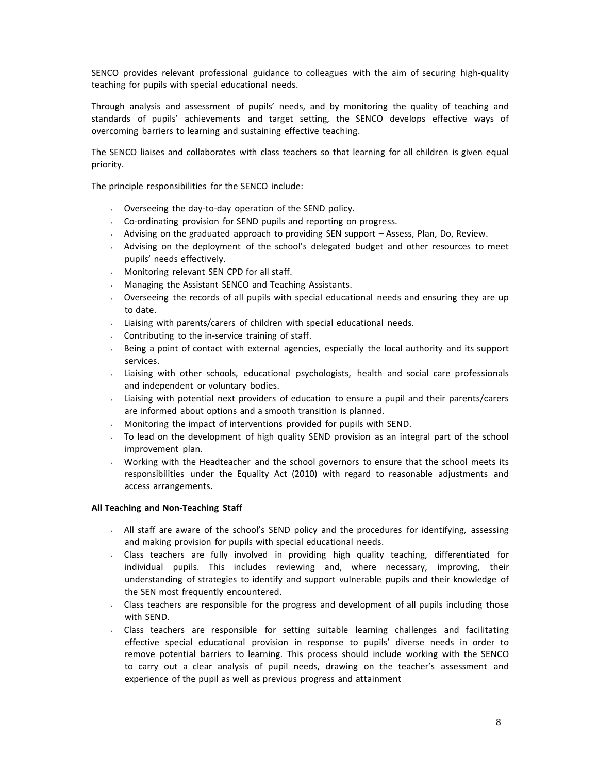SENCO provides relevant professional guidance to colleagues with the aim of securing high‐quality teaching for pupils with special educational needs.

Through analysis and assessment of pupils' needs, and by monitoring the quality of teaching and standards of pupils' achievements and target setting, the SENCO develops effective ways of overcoming barriers to learning and sustaining effective teaching.

The SENCO liaises and collaborates with class teachers so that learning for all children is given equal priority.

The principle responsibilities for the SENCO include:

- Overseeing the day‐to‐day operation of the SEND policy.
- Co‐ordinating provision for SEND pupils and reporting on progress.
- Advising on the graduated approach to providing SEN support  $-$  Assess, Plan, Do, Review.
- Advising on the deployment of the school's delegated budget and other resources to meet pupils' needs effectively.
- Monitoring relevant SEN CPD for all staff.
- Managing the Assistant SENCO and Teaching Assistants.  $\mathbf{v}$
- $\sqrt{2}$ Overseeing the records of all pupils with special educational needs and ensuring they are up to date.
- Liaising with parents/carers of children with special educational needs.
- Contributing to the in‐service training of staff.  $\mathbf{v}$
- Being a point of contact with external agencies, especially the local authority and its support services.
- Liaising with other schools, educational psychologists, health and social care professionals  $\sqrt{2}$ and independent or voluntary bodies.
- Liaising with potential next providers of education to ensure a pupil and their parents/carers  $\mathbf{v}$ are informed about options and a smooth transition is planned.
- Monitoring the impact of interventions provided for pupils with SEND.  $\mathbf{v}$
- $\sim$  To lead on the development of high quality SEND provision as an integral part of the school improvement plan.
- Working with the Headteacher and the school governors to ensure that the school meets its  $\mathbf{v}^{(i)}$ responsibilities under the Equality Act (2010) with regard to reasonable adjustments and access arrangements.

#### **All Teaching and Non‐Teaching Staff**

- All staff are aware of the school's SEND policy and the procedures for identifying, assessing and making provision for pupils with special educational needs.
- $\mathbf{v}^{(i)}$ Class teachers are fully involved in providing high quality teaching, differentiated for individual pupils. This includes reviewing and, where necessary, improving, their understanding of strategies to identify and support vulnerable pupils and their knowledge of the SEN most frequently encountered.
- Class teachers are responsible for the progress and development of all pupils including those  $\sqrt{2}$ with SEND.
- Class teachers are responsible for setting suitable learning challenges and facilitating effective special educational provision in response to pupils' diverse needs in order to remove potential barriers to learning. This process should include working with the SENCO to carry out a clear analysis of pupil needs, drawing on the teacher's assessment and experience of the pupil as well as previous progress and attainment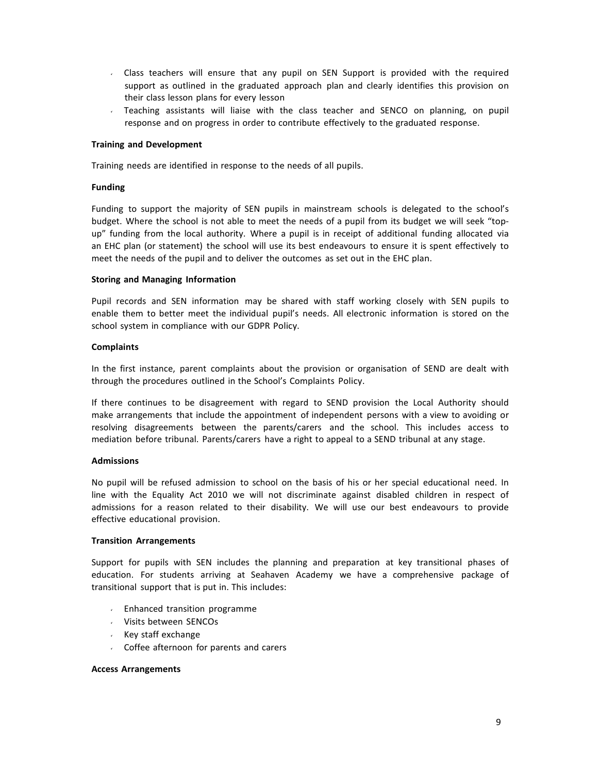- Class teachers will ensure that any pupil on SEN Support is provided with the required support as outlined in the graduated approach plan and clearly identifies this provision on their class lesson plans for every lesson
- Teaching assistants will liaise with the class teacher and SENCO on planning, on pupil response and on progress in order to contribute effectively to the graduated response.

#### **Training and Development**

Training needs are identified in response to the needs of all pupils.

#### **Funding**

Funding to support the majority of SEN pupils in mainstream schools is delegated to the school's budget. Where the school is not able to meet the needs of a pupil from its budget we will seek "top‐ up" funding from the local authority. Where a pupil is in receipt of additional funding allocated via an EHC plan (or statement) the school will use its best endeavours to ensure it is spent effectively to meet the needs of the pupil and to deliver the outcomes as set out in the EHC plan.

#### **Storing and Managing Information**

Pupil records and SEN information may be shared with staff working closely with SEN pupils to enable them to better meet the individual pupil's needs. All electronic information is stored on the school system in compliance with our GDPR Policy.

#### **Complaints**

In the first instance, parent complaints about the provision or organisation of SEND are dealt with through the procedures outlined in the School's Complaints Policy.

If there continues to be disagreement with regard to SEND provision the Local Authority should make arrangements that include the appointment of independent persons with a view to avoiding or resolving disagreements between the parents/carers and the school. This includes access to mediation before tribunal. Parents/carers have a right to appeal to a SEND tribunal at any stage.

#### **Admissions**

No pupil will be refused admission to school on the basis of his or her special educational need. In line with the Equality Act 2010 we will not discriminate against disabled children in respect of admissions for a reason related to their disability. We will use our best endeavours to provide effective educational provision.

#### **Transition Arrangements**

Support for pupils with SEN includes the planning and preparation at key transitional phases of education. For students arriving at Seahaven Academy we have a comprehensive package of transitional support that is put in. This includes:

- $\sqrt{ }$  Enhanced transition programme
- Visits between SENCOs
- $\cdot$  Key staff exchange
- Coffee afternoon for parents and carers

#### **Access Arrangements**